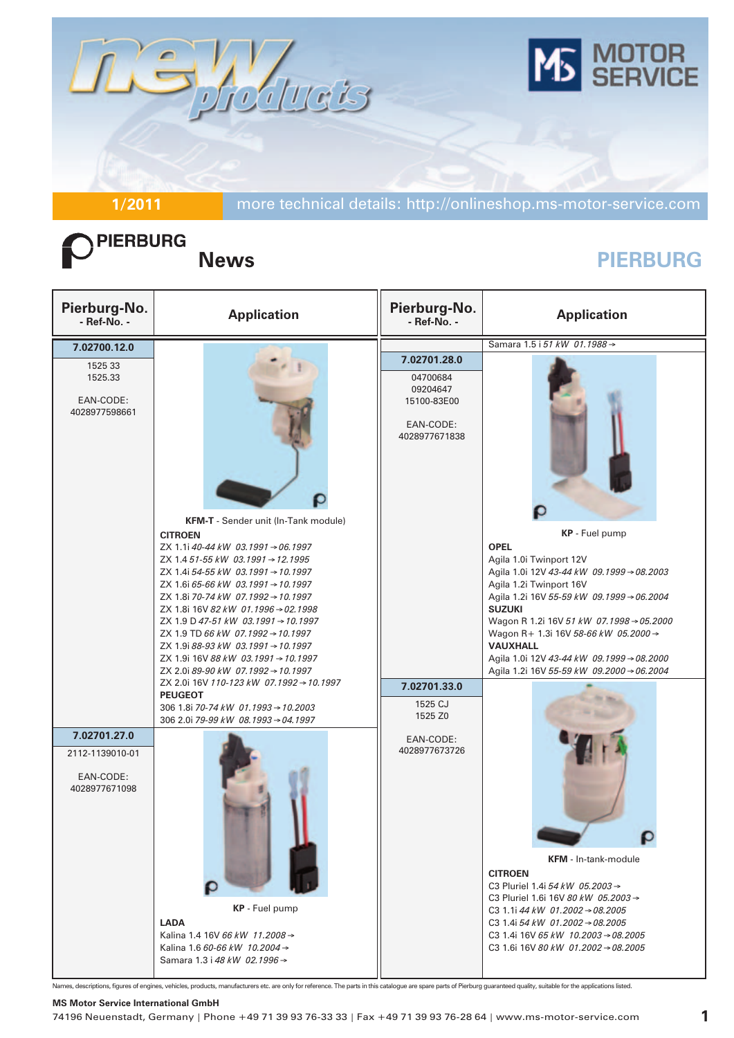

**1/2011** more technical details: http://onlineshop.ms-motor-service.com

# PIERBURG

## **News PIERBURG**

| Pierburg-No.<br>- Ref-No. -                                   | <b>Application</b>                                                                                                                                                                                                                                                                                                                                                                                                                                                                                                                                                                                                                 | Pierburg-No.<br>- Ref-No. -                                                                                             | <b>Application</b>                                                                                                                                                                                                                                                                                                                                                                              |
|---------------------------------------------------------------|------------------------------------------------------------------------------------------------------------------------------------------------------------------------------------------------------------------------------------------------------------------------------------------------------------------------------------------------------------------------------------------------------------------------------------------------------------------------------------------------------------------------------------------------------------------------------------------------------------------------------------|-------------------------------------------------------------------------------------------------------------------------|-------------------------------------------------------------------------------------------------------------------------------------------------------------------------------------------------------------------------------------------------------------------------------------------------------------------------------------------------------------------------------------------------|
| 7.02700.12.0                                                  |                                                                                                                                                                                                                                                                                                                                                                                                                                                                                                                                                                                                                                    |                                                                                                                         | Samara 1.5 i 51 kW 01.1988 →                                                                                                                                                                                                                                                                                                                                                                    |
| 1525 33<br>1525.33<br>EAN-CODE:<br>4028977598661              | KFM-T - Sender unit (In-Tank module)<br><b>CITROEN</b><br>ZX 1.1i 40-44 kW 03.1991 → 06.1997<br>ZX 1.4 51-55 kW 03.1991 → 12.1995<br>ZX 1.4i 54-55 kW 03.1991 → 10.1997<br>ZX 1.6i 65-66 kW 03.1991 → 10.1997<br>ZX 1.8i 70-74 kW 07.1992 → 10.1997<br>ZX 1.8i 16V 82 kW 01.1996 → 02.1998<br>ZX 1.9 D 47-51 kW 03.1991 $\rightarrow$ 10.1997<br>ZX 1.9 TD 66 kW 07.1992 → 10.1997<br>ZX 1.9i 88-93 kW 03.1991 $\rightarrow$ 10.1997<br>ZX 1.9i 16V 88 kW 03.1991 $\rightarrow$ 10.1997<br>ZX 2.0i 89-90 kW 07.1992 → 10.1997<br>ZX 2.0i 16V 110-123 kW 07.1992 → 10.1997<br><b>PEUGEOT</b><br>306 1.8i 70-74 kW 01.1993 → 10.2003 | 7.02701.28.0<br>04700684<br>09204647<br>15100-83E00<br>EAN-CODE:<br>4028977671838<br>7.02701.33.0<br>1525 CJ<br>1525 Z0 | KP - Fuel pump<br><b>OPEL</b><br>Agila 1.0i Twinport 12V<br>Agila 1.0i 12V 43-44 kW 09.1999 → 08.2003<br>Agila 1.2i Twinport 16V<br>Agila 1.2i 16V 55-59 kW 09.1999 → 06.2004<br><b>SUZUKI</b><br>Wagon R 1.2i 16V 51 kW 07.1998 → 05.2000<br>Wagon R+ 1.3i 16V 58-66 kW 05.2000 →<br><b>VAUXHALL</b><br>Agila 1.0i 12V 43-44 kW 09.1999 → 08.2000<br>Agila 1.2i 16V 55-59 kW 09.2000 → 06.2004 |
| 7.02701.27.0<br>2112-1139010-01<br>EAN-CODE:<br>4028977671098 | 306 2.0i 79-99 kW 08.1993 → 04.1997<br>KP - Fuel pump<br><b>LADA</b><br>Kalina 1.4 16V 66 kW 11.2008 →<br>Kalina 1.6 60-66 kW 10.2004 →<br>Samara 1.3 i 48 kW 02.1996 →                                                                                                                                                                                                                                                                                                                                                                                                                                                            | EAN-CODE:<br>4028977673726                                                                                              | <b>KFM</b> - In-tank-module<br><b>CITROEN</b><br>C3 Pluriel 1.4i 54 kW 05.2003 $\rightarrow$<br>C3 Pluriel 1.6i 16V 80 kW 05.2003 $\rightarrow$<br>C3 1.1i 44 kW 01.2002 $\rightarrow$ 08.2005<br>C3 1.4i 54 kW 01.2002 $\rightarrow$ 08.2005<br>C3 1.4i 16V 65 kW 10.2003 $\rightarrow$ 08.2005<br>C3 1.6i 16V 80 kW 01.2002 $\rightarrow$ 08.2005                                             |

Names, descriptions, figures of engines, vehicles, products, manufacturers etc. are only for reference. The parts in this catalogue are spare parts of Pierburg guaranteed quality, suitable for the applications listed.

#### **MS Motor Service International GmbH**